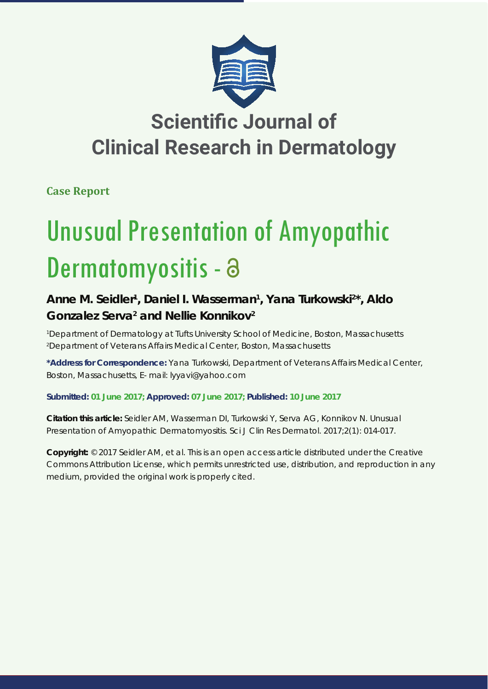

## **Scientific Journal of Clinical Research in Dermatology**

**Case Report**

# Unusual Presentation of Amyopathic Dermatomyositis - a

### Anne M. Seidler<sup>1</sup>, Daniel I. Wasserman<sup>1</sup>, Yana Turkowski<sup>2\*</sup>, Aldo Gonzalez Serva<sup>2</sup> and Nellie Konnikov<sup>2</sup>

*1 Department of Dermatology at Tufts University School of Medicine, Boston, Massachusetts 2 Department of Veterans Affairs Medical Center, Boston, Massachusetts*

**\*Address for Correspondence:** Yana Turkowski, Department of Veterans Affairs Medical Center, Boston, Massachusetts, E- mail: lyyavi@yahoo.com

**Submitted: 01 June 2017; Approved: 07 June 2017; Published: 10 June 2017**

**Citation this article:** Seidler AM, Wasserman DI, Turkowski Y, Serva AG, Konnikov N. Unusual Presentation of Amyopathic Dermatomyositis. Sci J Clin Res Dermatol. 2017;2(1): 014-017.

**Copyright:** © 2017 Seidler AM, et al. This is an open access article distributed under the Creative Commons Attribution License, which permits unrestricted use, distribution, and reproduction in any medium, provided the original work is properly cited.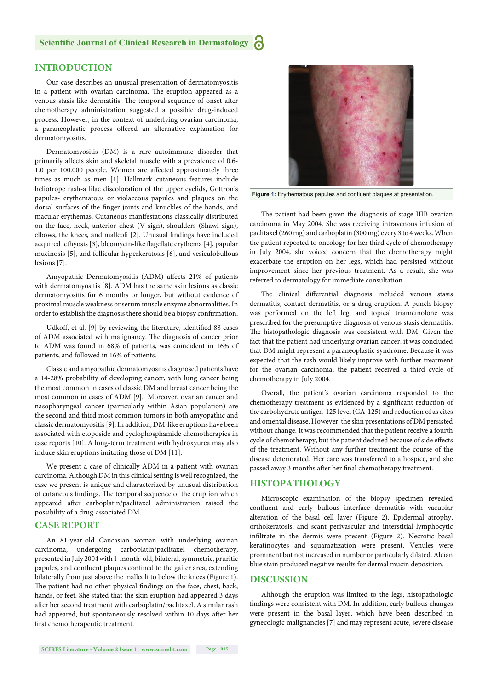#### **Scientific Journal of Clinical Research in Dermatology**

#### **INTRODUCTION**

Our case describes an unusual presentation of dermatomyositis in a patient with ovarian carcinoma. The eruption appeared as a venous stasis like dermatitis. The temporal sequence of onset after chemotherapy administration suggested a possible drug-induced process. However, in the context of underlying ovarian carcinoma, a paraneoplastic process offered an alternative explanation for dermatomyositis.

Dermatomyositis (DM) is a rare autoimmune disorder that primarily affects skin and skeletal muscle with a prevalence of 0.6-1.0 per 100.000 people. Women are affected approximately three times as much as men [1]. Hallmark cutaneous features include heliotrope rash-a lilac discoloration of the upper eyelids, Gottron's papules- erythematous or violaceous papules and plaques on the dorsal surfaces of the finger joints and knuckles of the hands, and macular erythemas. Cutaneous manifestations classically distributed on the face, neck, anterior chest (V sign), shoulders (Shawl sign), elbows, the knees, and malleoli [2]. Unusual findings have included acquired icthyosis [3], bleomycin-like flagellate erythema [4], papular mucinosis [5], and follicular hyperkeratosis [6], and vesiculobullous lesions [7].

Amyopathic Dermatomyositis (ADM) affects 21% of patients with dermatomyositis [8]. ADM has the same skin lesions as classic dermatomyositis for 6 months or longer, but without evidence of proximal muscle weakness or serum muscle enzyme abnormalities. In order to establish the diagnosis there should be a biopsy confirmation.

Udkoff, et al. [9] by reviewing the literature, identified 88 cases of ADM associated with malignancy. The diagnosis of cancer prior to ADM was found in 68% of patients, was coincident in 16% of patients, and followed in 16% of patients.

Classic and amyopathic dermatomyositis diagnosed patients have a 14-28% probability of developing cancer, with lung cancer being the most common in cases of classic DM and breast cancer being the most common in cases of ADM [9]. Moreover, ovarian cancer and nasopharyngeal cancer (particularly within Asian population) are the second and third most common tumors in both amyopathic and classic dermatomyositis [9]. In addition, DM-like eruptions have been associated with etoposide and cyclophosphamide chemotherapies in case reports [10]. A long-term treatment with hydroxyurea may also induce skin eruptions imitating those of DM [11].

We present a case of clinically ADM in a patient with ovarian carcinoma. Although DM in this clinical setting is well recognized, the case we present is unique and characterized by unusual distribution of cutaneous findings. The temporal sequence of the eruption which appeared after carboplatin/paclitaxel administration raised the possibility of a drug-associated DM.

#### **CASE REPORT**

An 81-year-old Caucasian woman with underlying ovarian carcinoma, undergoing carboplatin/paclitaxel chemotherapy, presented in July 2004 with 1-month-old, bilateral, symmetric, pruritic papules, and confluent plaques confined to the gaiter area, extending bilaterally from just above the malleoli to below the knees (Figure 1). The patient had no other physical findings on the face, chest, back, hands, or feet. She stated that the skin eruption had appeared 3 days after her second treatment with carboplatin/paclitaxel. A similar rash had appeared, but spontaneously resolved within 10 days after her first chemotherapeutic treatment.



Figure 1: Erythematous papules and confluent plaques at presentation.

The patient had been given the diagnosis of stage IIIB ovarian carcinoma in May 2004. She was receiving intravenous infusion of paclitaxel (260 mg) and carboplatin (300 mg) every 3 to 4 weeks. When the patient reported to oncology for her third cycle of chemotherapy in July 2004, she voiced concern that the chemotherapy might exacerbate the eruption on her legs, which had persisted without improvement since her previous treatment. As a result, she was referred to dermatology for immediate consultation.

The clinical differential diagnosis included venous stasis dermatitis, contact dermatitis, or a drug eruption. A punch biopsy was performed on the left leg, and topical triamcinolone was prescribed for the presumptive diagnosis of venous stasis dermatitis. The histopathologic diagnosis was consistent with DM. Given the fact that the patient had underlying ovarian cancer, it was concluded that DM might represent a paraneoplastic syndrome. Because it was expected that the rash would likely improve with further treatment for the ovarian carcinoma, the patient received a third cycle of chemotherapy in July 2004.

Overall, the patient's ovarian carcinoma responded to the chemotherapy treatment as evidenced by a significant reduction of the carbohydrate antigen-125 level (CA-125) and reduction of as cites and omental disease. However, the skin presentations of DM persisted without change. It was recommended that the patient receive a fourth cycle of chemotherapy, but the patient declined because of side effects of the treatment. Without any further treatment the course of the disease deteriorated. Her care was transferred to a hospice, and she passed away 3 months after her final chemotherapy treatment.

#### **HISTOPATHOLOGY**

Microscopic examination of the biopsy specimen revealed confluent and early bullous interface dermatitis with vacuolar alteration of the basal cell layer (Figure 2). Epidermal atrophy, orthokeratosis, and scant perivascular and interstitial lymphocytic infiltrate in the dermis were present (Figure 2). Necrotic basal keratinocytes and squamatization were present. Venules were prominent but not increased in number or particularly dilated. Alcian blue stain produced negative results for dermal mucin deposition.

#### **DISCUSSION**

Although the eruption was limited to the legs, histopathologic findings were consistent with DM. In addition, early bullous changes were present in the basal layer, which have been described in gynecologic malignancies [7] and may represent acute, severe disease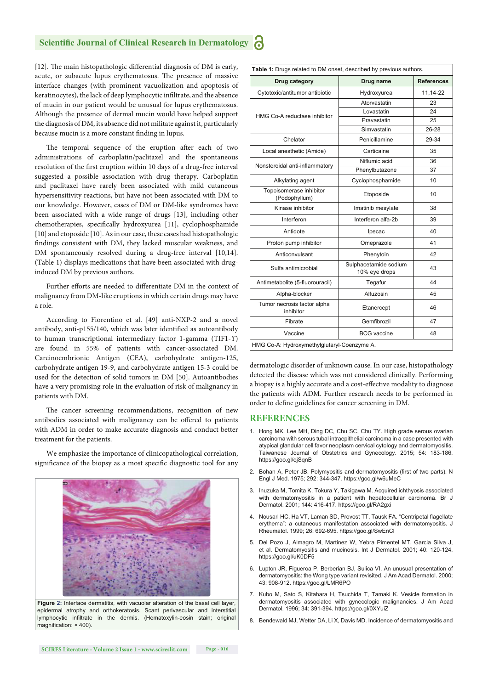#### **Scientific Journal of Clinical Research in Dermatology**

[12]. The main histopathologic differential diagnosis of DM is early, acute, or subacute lupus erythematosus. The presence of massive interface changes (with prominent vacuolization and apoptosis of keratinocytes), the lack of deep lymphocytic infiltrate, and the absence of mucin in our patient would be unusual for lupus erythematosus. Although the presence of dermal mucin would have helped support the diagnosis of DM, its absence did not militate against it, particularly because mucin is a more constant finding in lupus.

The temporal sequence of the eruption after each of two administrations of carboplatin/paclitaxel and the spontaneous resolution of the first eruption within 10 days of a drug-free interval suggested a possible association with drug therapy. Carboplatin and paclitaxel have rarely been associated with mild cutaneous hypersensitivity reactions, but have not been associated with DM to our knowledge. However, cases of DM or DM-like syndromes have been associated with a wide range of drugs [13], including other chemotherapies, specifically hydroxyurea [11], cyclophosphamide [10] and etoposide [10]. As in our case, these cases had histopathologic findings consistent with DM, they lacked muscular weakness, and DM spontaneously resolved during a drug-free interval [10,14]. (Table 1) displays medications that have been associated with druginduced DM by previous authors.

Further efforts are needed to differentiate DM in the context of malignancy from DM-like eruptions in which certain drugs may have a role.

According to Fiorentino et al. [49] anti-NXP-2 and a novel antibody, anti-p155/140, which was later identified as autoantibody to human transcriptional intermediary factor 1-gamma (TIF1- $\Upsilon$ ) are found in 55% of patients with cancer-associated DM. Carcinoembrionic Antigen (CEA), carbohydrate antigen-125, carbohydrate antigen 19-9, and carbohydrate antigen 15-3 could be used for the detection of solid tumors in DM [50]. Autoantibodies have a very promising role in the evaluation of risk of malignancy in patients with DM.

The cancer screening recommendations, recognition of new antibodies associated with malignancy can be offered to patients with ADM in order to make accurate diagnosis and conduct better treatment for the patients.

We emphasize the importance of clinicopathological correlation, significance of the biopsy as a most specific diagnostic tool for any



Figure 2: Interface dermatitis, with vacuolar alteration of the basal cell layer epidermal atrophy and orthokeratosis. Scant perivascular and interstitial lymphocytic infiltrate in the dermis. (Hematoxylin-eosin stain; original magnification:  $\times$  400).

|                                             | Table 1: Drugs related to DM onset, described by previous authors.<br><b>References</b> |          |
|---------------------------------------------|-----------------------------------------------------------------------------------------|----------|
| Drug category                               | Drug name                                                                               |          |
| Cytotoxic/antitumor antibiotic              | Hydroxyurea                                                                             | 11,14-22 |
| HMG Co-A reductase inhibitor                | Atorvastatin                                                                            | 23       |
|                                             | Lovastatin                                                                              | 24       |
|                                             | Pravastatin                                                                             | 25       |
|                                             | Simvastatin                                                                             | 26-28    |
| Chelator                                    | Penicillamine                                                                           | 29-34    |
| Local anesthetic (Amide)                    | Carticaine                                                                              | 35       |
| Nonsteroidal anti-inflammatory              | Niflumic acid                                                                           | 36       |
|                                             | Phenylbutazone                                                                          | 37       |
| Alkylating agent                            | Cyclophosphamide                                                                        | 10       |
| Topoisomerase inhibitor<br>(Podophyllum)    | Etoposide                                                                               | 10       |
| Kinase inhibitor                            | Imatinib mesylate                                                                       | 38       |
| Interferon                                  | Interferon alfa-2b                                                                      | 39       |
| Antidote                                    | Ipecac                                                                                  | 40       |
| Proton pump inhibitor                       | Omeprazole                                                                              | 41       |
| Anticonvulsant                              | Phenytoin                                                                               | 42       |
| Sulfa antimicrobial                         | Sulphacetamide sodium<br>10% eye drops                                                  | 43       |
| Antimetabolite (5-fluorouracil)             | Tegafur                                                                                 | 44       |
| Alpha-blocker                               | Alfuzosin                                                                               | 45       |
| Tumor necrosis factor alpha<br>inhibitor    | Etanercept                                                                              | 46       |
| Fibrate                                     | Gemfibrozil                                                                             | 47       |
| Vaccine                                     | <b>BCG</b> vaccine                                                                      | 48       |
| HMG Co-A: Hydroxymethylglutaryl-Coenzyme A. |                                                                                         |          |

dermatologic disorder of unknown cause. In our case, histopathology detected the disease which was not considered clinically. Performing a biopsy is a highly accurate and a cost-effective modality to diagnose the patients with ADM. Further research needs to be performed in order to define guidelines for cancer screening in DM.

#### **REFERENCES**

- 1. Hong MK, Lee MH, Ding DC, Chu SC, Chu TY. High grade serous ovarian carcinoma with serous tubal intraepithelial carcinoma in a case presented with atypical glandular cell favor neoplasm cervical cytology and dermatomyositis. Taiwanese Journal of Obstetrics and Gynecology. 2015; 54: 183-186. https://goo.gl/ojSqnB
- 2. Bohan A, Peter JB, Polymyositis and dermatomyositis (first of two parts). N Engl J Med. 1975; 292: 344-347. https://goo.gl/w6uMeC
- 3. Inuzuka M, Tomita K, Tokura Y, Takigawa M. Acquired ichthyosis associated with dermatomyositis in a patient with hepatocellular carcinoma. Br J Dermatol. 2001; 144: 416-417. https://goo.gl/RA2gxi
- 4. Nousari HC, Ha VT, Laman SD, Provost TT, Tausk FA, "Centripetal flagellate erythema": a cutaneous manifestation associated with dermatomyositis. J Rheumatol. 1999; 26: 692-695. https://goo.gl/SwEnCl
- 5. Del Pozo J, Almagro M, Martinez W, Yebra Pimentel MT, Garcia Silva J, et al. Dermatomyositis and mucinosis. Int J Dermatol. 2001; 40: 120-124. https://goo.gl/uK0DF5
- 6. Lupton JR, Figueroa P, Berberian BJ, Sulica VI. An unusual presentation of dermatomyositis: the Wong type variant revisited. J Am Acad Dermatol. 2000; 43: 908-912. https://goo.gl/LMR6PO
- 7. Kubo M, Sato S, Kitahara H, Tsuchida T, Tamaki K. Vesicle formation in dermatomyositis associated with gynecologic malignancies. J Am Acad Dermatol. 1996; 34: 391-394. https://goo.gl/0XYuiZ
- 8. Bendewald MJ, Wetter DA, Li X, Davis MD. Incidence of dermatomyositis and